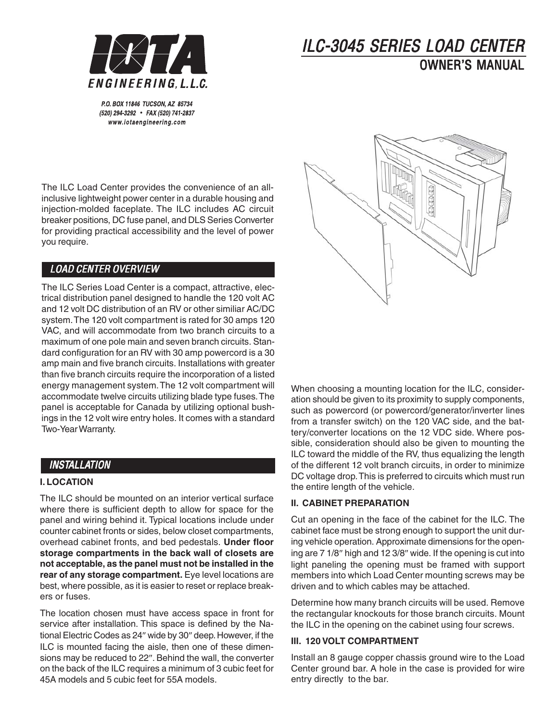

# ILC-3045 SERIES LOAD CENTER OWNER'S MANUAL

P.O. BOX 11846 TUCSON, AZ 85734 (520) 294-3292 • FAX (520) 741-2837 www.iotaengineering.com

The ILC Load Center provides the convenience of an allinclusive lightweight power center in a durable housing and injection-molded faceplate. The ILC includes AC circuit breaker positions, DC fuse panel, and DLS Series Converter for providing practical accessibility and the level of power you require.

# LOAD CENTER OVERVIEW

The ILC Series Load Center is a compact, attractive, electrical distribution panel designed to handle the 120 volt AC and 12 volt DC distribution of an RV or other similiar AC/DC system. The 120 volt compartment is rated for 30 amps 120 VAC, and will accommodate from two branch circuits to a maximum of one pole main and seven branch circuits. Standard configuration for an RV with 30 amp powercord is a 30 amp main and five branch circuits. Installations with greater than five branch circuits require the incorporation of a listed energy management system. The 12 volt compartment will accommodate twelve circuits utilizing blade type fuses. The panel is acceptable for Canada by utilizing optional bushings in the 12 volt wire entry holes. It comes with a standard Two-Year Warranty.

## INSTALLATION

#### **I. LOCATION**

The ILC should be mounted on an interior vertical surface where there is sufficient depth to allow for space for the panel and wiring behind it. Typical locations include under counter cabinet fronts or sides, below closet compartments, overhead cabinet fronts, and bed pedestals. **Under floor storage compartments in the back wall of closets are not acceptable, as the panel must not be installed in the rear of any storage compartment.** Eye level locations are best, where possible, as it is easier to reset or replace breakers or fuses.

The location chosen must have access space in front for service after installation. This space is defined by the National Electric Codes as 24″ wide by 30″ deep. However, if the ILC is mounted facing the aisle, then one of these dimensions may be reduced to 22″. Behind the wall, the converter on the back of the ILC requires a minimum of 3 cubic feet for 45A models and 5 cubic feet for 55A models.



When choosing a mounting location for the ILC, consideration should be given to its proximity to supply components, such as powercord (or powercord/generator/inverter lines from a transfer switch) on the 120 VAC side, and the battery/converter locations on the 12 VDC side. Where possible, consideration should also be given to mounting the ILC toward the middle of the RV, thus equalizing the length of the different 12 volt branch circuits, in order to minimize DC voltage drop. This is preferred to circuits which must run the entire length of the vehicle.

#### **II. CABINET PREPARATION**

Cut an opening in the face of the cabinet for the ILC. The cabinet face must be strong enough to support the unit during vehicle operation. Approximate dimensions for the opening are 7 1/8″ high and 12 3/8″ wide. If the opening is cut into light paneling the opening must be framed with support members into which Load Center mounting screws may be driven and to which cables may be attached.

Determine how many branch circuits will be used. Remove the rectangular knockouts for those branch circuits. Mount the ILC in the opening on the cabinet using four screws.

#### **III. 120 VOLT COMPARTMENT**

Install an 8 gauge copper chassis ground wire to the Load Center ground bar. A hole in the case is provided for wire entry directly to the bar.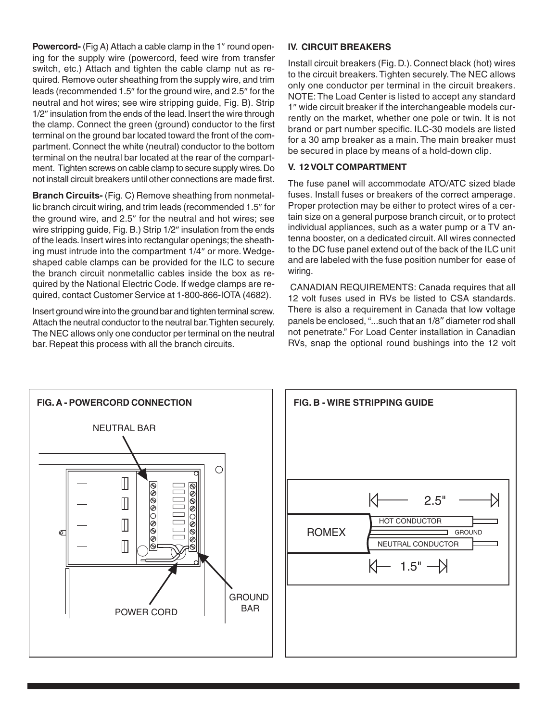**Powercord-** (Fig A) Attach a cable clamp in the 1″ round opening for the supply wire (powercord, feed wire from transfer switch, etc.) Attach and tighten the cable clamp nut as required. Remove outer sheathing from the supply wire, and trim leads (recommended 1.5″ for the ground wire, and 2.5″ for the neutral and hot wires; see wire stripping guide, Fig. B). Strip 1/2″ insulation from the ends of the lead. Insert the wire through the clamp. Connect the green (ground) conductor to the first terminal on the ground bar located toward the front of the compartment. Connect the white (neutral) conductor to the bottom terminal on the neutral bar located at the rear of the compartment. Tighten screws on cable clamp to secure supply wires. Do not install circuit breakers until other connections are made first.

**Branch Circuits-** (Fig. C) Remove sheathing from nonmetallic branch circuit wiring, and trim leads (recommended 1.5″ for the ground wire, and 2.5″ for the neutral and hot wires; see wire stripping guide, Fig. B.) Strip 1/2″ insulation from the ends of the leads. Insert wires into rectangular openings; the sheathing must intrude into the compartment 1/4″ or more. Wedgeshaped cable clamps can be provided for the ILC to secure the branch circuit nonmetallic cables inside the box as required by the National Electric Code. If wedge clamps are required, contact Customer Service at 1-800-866-IOTA (4682).

Insert ground wire into the ground bar and tighten terminal screw. Attach the neutral conductor to the neutral bar. Tighten securely. The NEC allows only one conductor per terminal on the neutral bar. Repeat this process with all the branch circuits.

#### **IV. CIRCUIT BREAKERS**

Install circuit breakers (Fig. D.). Connect black (hot) wires to the circuit breakers. Tighten securely. The NEC allows only one conductor per terminal in the circuit breakers. NOTE: The Load Center is listed to accept any standard 1″ wide circuit breaker if the interchangeable models currently on the market, whether one pole or twin. It is not brand or part number specific. ILC-30 models are listed for a 30 amp breaker as a main. The main breaker must be secured in place by means of a hold-down clip.

#### **V. 12 VOLT COMPARTMENT**

The fuse panel will accommodate ATO/ATC sized blade fuses. Install fuses or breakers of the correct amperage. Proper protection may be either to protect wires of a certain size on a general purpose branch circuit, or to protect individual appliances, such as a water pump or a TV antenna booster, on a dedicated circuit. All wires connected to the DC fuse panel extend out of the back of the ILC unit and are labeled with the fuse position number for ease of wiring.

 CANADIAN REQUIREMENTS: Canada requires that all 12 volt fuses used in RVs be listed to CSA standards. There is also a requirement in Canada that low voltage panels be enclosed, "...such that an 1/8″ diameter rod shall not penetrate." For Load Center installation in Canadian RVs, snap the optional round bushings into the 12 volt



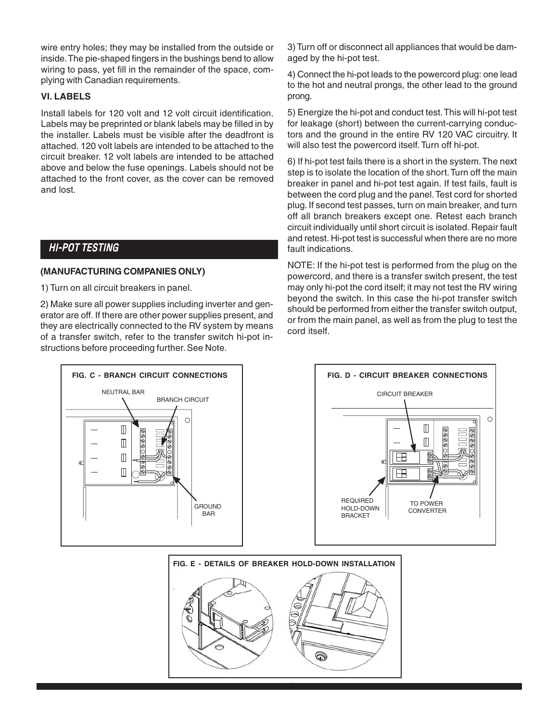wire entry holes; they may be installed from the outside or inside. The pie-shaped fingers in the bushings bend to allow wiring to pass, yet fill in the remainder of the space, complying with Canadian requirements.

#### **VI. LABELS**

Install labels for 120 volt and 12 volt circuit identification. Labels may be preprinted or blank labels may be filled in by the installer. Labels must be visible after the deadfront is attached. 120 volt labels are intended to be attached to the circuit breaker. 12 volt labels are intended to be attached above and below the fuse openings. Labels should not be attached to the front cover, as the cover can be removed and lost.

## HI-POT TESTING

#### **(MANUFACTURING COMPANIES ONLY)**

1) Turn on all circuit breakers in panel.

2) Make sure all power supplies including inverter and generator are off. If there are other power supplies present, and they are electrically connected to the RV system by means of a transfer switch, refer to the transfer switch hi-pot instructions before proceeding further. See Note.



3) Turn off or disconnect all appliances that would be damaged by the hi-pot test.

4) Connect the hi-pot leads to the powercord plug: one lead to the hot and neutral prongs, the other lead to the ground prong.

5) Energize the hi-pot and conduct test. This will hi-pot test for leakage (short) between the current-carrying conductors and the ground in the entire RV 120 VAC circuitry. It will also test the powercord itself. Turn off hi-pot.

6) If hi-pot test fails there is a short in the system. The next step is to isolate the location of the short. Turn off the main breaker in panel and hi-pot test again. If test fails, fault is between the cord plug and the panel. Test cord for shorted plug. If second test passes, turn on main breaker, and turn off all branch breakers except one. Retest each branch circuit individually until short circuit is isolated. Repair fault and retest. Hi-pot test is successful when there are no more fault indications.

NOTE: If the hi-pot test is performed from the plug on the powercord, and there is a transfer switch present, the test may only hi-pot the cord itself; it may not test the RV wiring beyond the switch. In this case the hi-pot transfer switch should be performed from either the transfer switch output, or from the main panel, as well as from the plug to test the cord itself.